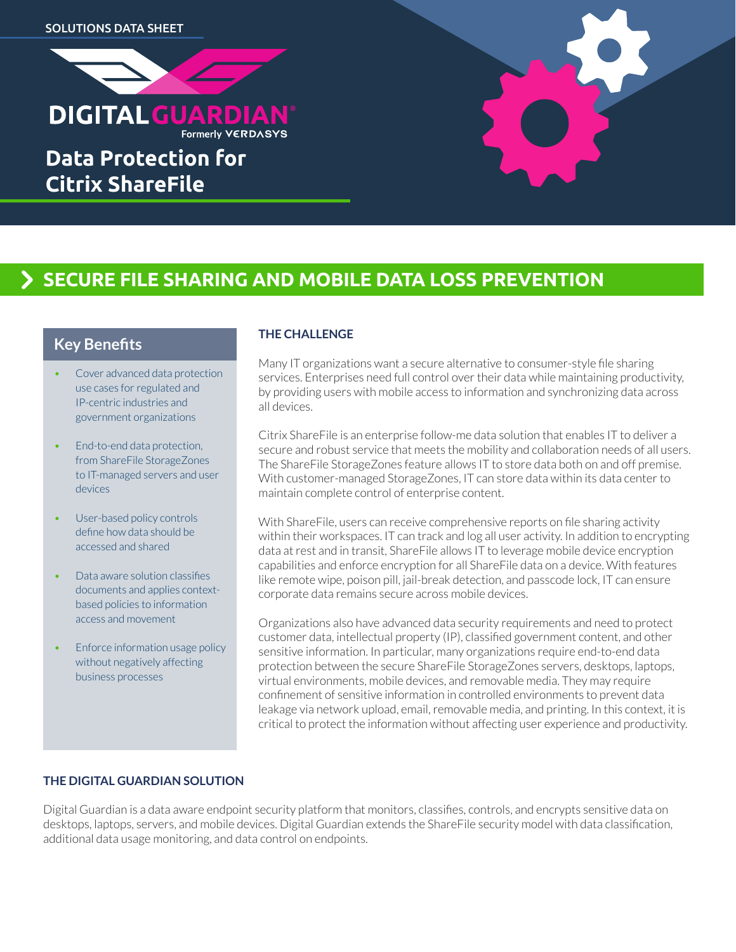

**Data Protection for Citrix ShareFile**

# **SECURE FILE SHARING AND MOBILE DATA LOSS PREVENTION**

## **Key Benefits**

- Cover advanced data protection use cases for regulated and IP-centric industries and government organizations
- End-to-end data protection, from ShareFile StorageZones to IT-managed servers and user devices
- User-based policy controls define how data should be accessed and shared
- Data aware solution classifies documents and applies contextbased policies to information access and movement
- Enforce information usage policy without negatively affecting business processes

#### **THE CHALLENGE**

Many IT organizations want a secure alternative to consumer-style file sharing services. Enterprises need full control over their data while maintaining productivity, by providing users with mobile access to information and synchronizing data across all devices.

Citrix ShareFile is an enterprise follow-me data solution that enables IT to deliver a secure and robust service that meets the mobility and collaboration needs of all users. The ShareFile StorageZones feature allows IT to store data both on and off premise. With customer-managed StorageZones, IT can store data within its data center to maintain complete control of enterprise content.

With ShareFile, users can receive comprehensive reports on file sharing activity within their workspaces. IT can track and log all user activity. In addition to encrypting data at rest and in transit, ShareFile allows IT to leverage mobile device encryption capabilities and enforce encryption for all ShareFile data on a device. With features like remote wipe, poison pill, jail-break detection, and passcode lock, IT can ensure corporate data remains secure across mobile devices.

Organizations also have advanced data security requirements and need to protect customer data, intellectual property (IP), classified government content, and other sensitive information. In particular, many organizations require end-to-end data protection between the secure ShareFile StorageZones servers, desktops, laptops, virtual environments, mobile devices, and removable media. They may require confinement of sensitive information in controlled environments to prevent data leakage via network upload, email, removable media, and printing. In this context, it is critical to protect the information without affecting user experience and productivity.

#### **THE DIGITAL GUARDIAN SOLUTION**

Digital Guardian is a data aware endpoint security platform that monitors, classifies, controls, and encrypts sensitive data on desktops, laptops, servers, and mobile devices. Digital Guardian extends the ShareFile security model with data classification, additional data usage monitoring, and data control on endpoints.